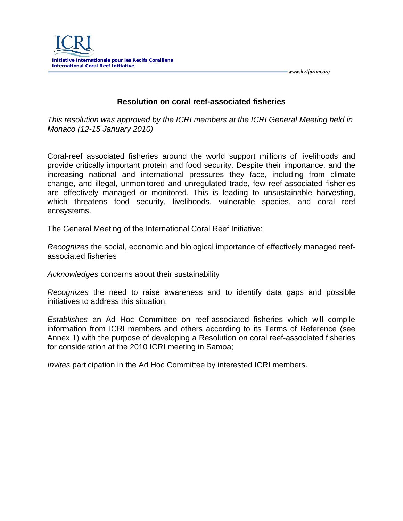

## **Resolution on coral reef-associated fisheries**

 *www.icriforum.org* 

*This resolution was approved by the ICRI members at the ICRI General Meeting held in Monaco (12-15 January 2010)*

Coral-reef associated fisheries around the world support millions of livelihoods and provide critically important protein and food security. Despite their importance, and the increasing national and international pressures they face, including from climate change, and illegal, unmonitored and unregulated trade, few reef-associated fisheries are effectively managed or monitored. This is leading to unsustainable harvesting, which threatens food security, livelihoods, vulnerable species, and coral reef ecosystems.

The General Meeting of the International Coral Reef Initiative:

*Recognizes* the social, economic and biological importance of effectively managed reefassociated fisheries

*Acknowledges* concerns about their sustainability

*Recognizes* the need to raise awareness and to identify data gaps and possible initiatives to address this situation;

*Establishes* an Ad Hoc Committee on reef-associated fisheries which will compile information from ICRI members and others according to its Terms of Reference (see Annex 1) with the purpose of developing a Resolution on coral reef-associated fisheries for consideration at the 2010 ICRI meeting in Samoa;

*Invites* participation in the Ad Hoc Committee by interested ICRI members.